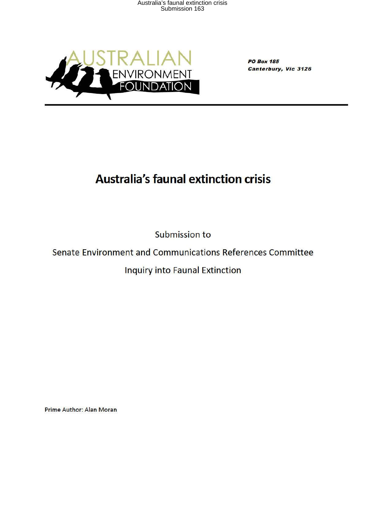

**Canterbury, Vic 3126** 

## **Australia's faunal extinction crisis**

Submission to

## Senate Environment and Communications References Committee

Inquiry into Faunal Extinction

Prime Author: Alan Moran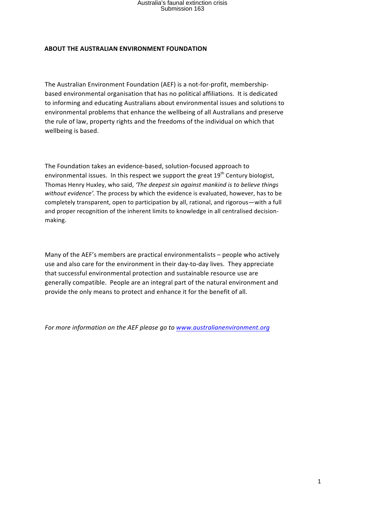#### **ABOUT THE AUSTRALIAN ENVIRONMENT FOUNDATION**

The Australian Environment Foundation (AEF) is a not-for-profit, membershipbased environmental organisation that has no political affiliations. It is dedicated to informing and educating Australians about environmental issues and solutions to environmental problems that enhance the wellbeing of all Australians and preserve the rule of law, property rights and the freedoms of the individual on which that wellbeing is based.

The Foundation takes an evidence-based, solution-focused approach to environmental issues. In this respect we support the great  $19<sup>th</sup>$  Century biologist, Thomas Henry Huxley, who said, *'The deepest sin gaginst mankind is to believe things* without evidence'. The process by which the evidence is evaluated, however, has to be completely transparent, open to participation by all, rational, and rigorous—with a full and proper recognition of the inherent limits to knowledge in all centralised decisionmaking.

Many of the AEF's members are practical environmentalists  $-$  people who actively use and also care for the environment in their day-to-day lives. They appreciate that successful environmental protection and sustainable resource use are generally compatible. People are an integral part of the natural environment and provide the only means to protect and enhance it for the benefit of all.

For more information on the AEF please go to www.australianenvironment.org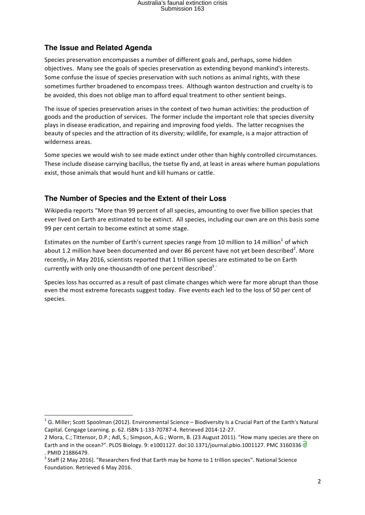#### **The Issue and Related Agenda**

<u> 1989 - Jan Samuel Barbara, margaret e</u>

Species preservation encompasses a number of different goals and, perhaps, some hidden objectives. Many see the goals of species preservation as extending beyond mankind's interests. Some confuse the issue of species preservation with such notions as animal rights, with these sometimes further broadened to encompass trees. Although wanton destruction and cruelty is to be avoided, this does not oblige man to afford equal treatment to other sentient beings.

The issue of species preservation arises in the context of two human activities: the production of goods and the production of services. The former include the important role that species diversity plays in disease eradication, and repairing and improving food yields. The latter recognises the beauty of species and the attraction of its diversity; wildlife, for example, is a major attraction of wilderness areas.

Some species we would wish to see made extinct under other than highly controlled circumstances. These include disease carrying bacillus, the tsetse fly and, at least in areas where human populations exist, those animals that would hunt and kill humans or cattle.

### **The Number of Species and the Extent of their Loss**

Wikipedia reports "More than 99 percent of all species, amounting to over five billion species that ever lived on Earth are estimated to be extinct. All species, including our own are on this basis some 99 per cent certain to become extinct at some stage.

Estimates on the number of Earth's current species range from 10 million to 14 million<sup>1</sup> of which about 1.2 million have been documented and over 86 percent have not yet been described<sup>2</sup>. More recently, in May 2016, scientists reported that 1 trillion species are estimated to be on Earth currently with only one-thousandth of one percent described<sup>3</sup>.

Species loss has occurred as a result of past climate changes which were far more abrupt than those even the most extreme forecasts suggest today. Five events each led to the loss of 50 per cent of species. 

 $1\overline{G}$ . Miller; Scott Spoolman (2012). Environmental Science – Biodiversity Is a Crucial Part of the Earth's Natural Capital. Cengage Learning. p. 62. ISBN 1-133-70787-4. Retrieved 2014-12-27.

<sup>2</sup> Mora, C.; Tittensor, D.P.; Adl, S.; Simpson, A.G.; Worm, B. (23 August 2011). "How many species are there on Earth and in the ocean?". PLOS Biology. 9: e1001127. doi:10.1371/journal.pbio.1001127. PMC 3160336 . PMID 21886479. 

 $3$  Staff (2 May 2016). "Researchers find that Earth may be home to 1 trillion species". National Science Foundation. Retrieved 6 May 2016.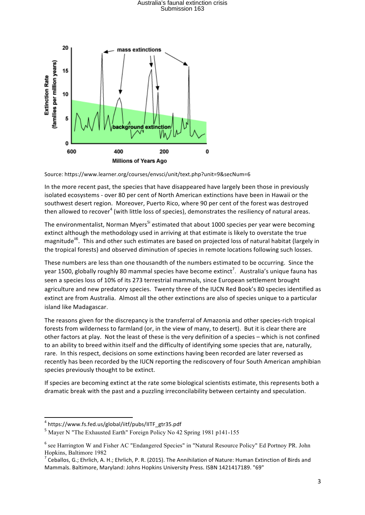

Source: https://www.learner.org/courses/envsci/unit/text.php?unit=9&secNum=6

In the more recent past, the species that have disappeared have largely been those in previously isolated ecosystems - over 80 per cent of North American extinctions have been in Hawaii or the southwest desert region. Moreover, Puerto Rico, where 90 per cent of the forest was destroyed then allowed to recover<sup>4</sup> (with little loss of species), demonstrates the resiliency of natural areas.

The environmentalist, Norman Myers<sup>5i</sup> estimated that about 1000 species per year were becoming extinct although the methodology used in arriving at that estimate is likely to overstate the true magnitude<sup>i6</sup>. This and other such estimates are based on projected loss of natural habitat (largely in the tropical forests) and observed diminution of species in remote locations following such losses.

These numbers are less than one thousandth of the numbers estimated to be occurring. Since the year 1500, globally roughly 80 mammal species have become extinct<sup>7</sup>. Australia's unique fauna has seen a species loss of 10% of its 273 terrestrial mammals, since European settlement brought agriculture and new predatory species. Twenty three of the IUCN Red Book's 80 species identified as extinct are from Australia. Almost all the other extinctions are also of species unique to a particular island like Madagascar.

The reasons given for the discrepancy is the transferral of Amazonia and other species-rich tropical forests from wilderness to farmland (or, in the view of many, to desert). But it is clear there are other factors at play. Not the least of these is the very definition of a species – which is not confined to an ability to breed within itself and the difficulty of identifying some species that are, naturally, rare. In this respect, decisions on some extinctions having been recorded are later reversed as recently has been recorded by the IUCN reporting the rediscovery of four South American amphibian species previously thought to be extinct.

If species are becoming extinct at the rate some biological scientists estimate, this represents both a dramatic break with the past and a puzzling irreconcilability between certainty and speculation.

<sup>4</sup> https://www.fs.fed.us/global/iitf/pubs/IITF\_gtr35.pdf

<sup>5</sup> Mayer N "The Exhausted Earth" Foreign Policy No 42 Spring 1981 p141-155

<sup>6</sup> see Harrington W and Fisher AC "Endangered Species" in "Natural Resource Policy" Ed Portnoy PR. John Hopkins, Baltimore 1982

 $^7$  Ceballos, G.; Ehrlich, A. H.; Ehrlich, P. R. (2015). The Annihilation of Nature: Human Extinction of Birds and Mammals. Baltimore, Maryland: Johns Hopkins University Press. ISBN 1421417189. "69"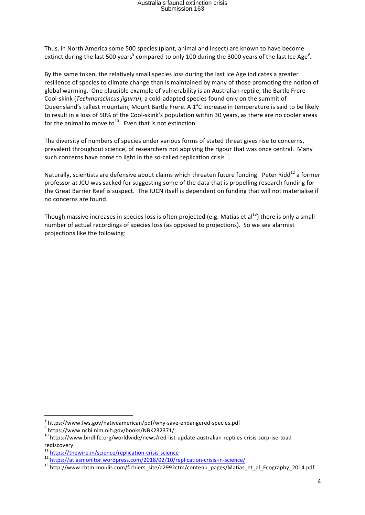Thus, in North America some 500 species (plant, animal and insect) are known to have become extinct during the last 500 years<sup>8</sup> compared to only 100 during the 3000 years of the last Ice Age<sup>9</sup>.

By the same token, the relatively small species loss during the last Ice Age indicates a greater resilience of species to climate change than is maintained by many of those promoting the notion of global warming. One plausible example of vulnerability is an Australian reptile, the Bartle Frere Cool-skink (*Techmarscincus jigurru*), a cold-adapted species found only on the summit of Queensland's tallest mountain, Mount Bartle Frere. A  $1^{\circ}$ C increase in temperature is said to be likely to result in a loss of 50% of the Cool-skink's population within 30 years, as there are no cooler areas for the animal to move to<sup>10</sup>. Even that is not extinction.

The diversity of numbers of species under various forms of stated threat gives rise to concerns, prevalent throughout science, of researchers not applying the rigour that was once central. Many such concerns have come to light in the so-called replication crisis $^{11}$ .

Naturally, scientists are defensive about claims which threaten future funding. Peter Ridd<sup>12</sup> a former professor at JCU was sacked for suggesting some of the data that is propelling research funding for the Great Barrier Reef is suspect. The IUCN itself is dependent on funding that will not materialise if no concerns are found.

Though massive increases in species loss is often projected (e.g. Matias et al<sup>13</sup>) there is only a small number of actual recordings of species loss (as opposed to projections). So we see alarmist projections like the following:

<sup>&</sup>lt;sup>8</sup> https://www.fws.gov/nativeamerican/pdf/why-save-endangered-species.pdf<br><sup>9</sup> https://www.ncbi.nlm.nih.gov/books/NBK232371/

<sup>&</sup>lt;sup>10</sup> https://www.birdlife.org/worldwide/news/red-list-update-australian-reptiles-crisis-surprise-toadrediscovery<br><sup>11</sup> https://thewire.in/science/replication-crisis-science

<sup>&</sup>lt;sup>12</sup> https://atlasmonitor.wordpress.com/2018/02/10/replication-crisis-in-science/<br><sup>13</sup> http://www.cbtm-moulis.com/fichiers\_site/a2992ctm/contenu\_pages/Matias\_et\_al\_Ecography\_2014.pdf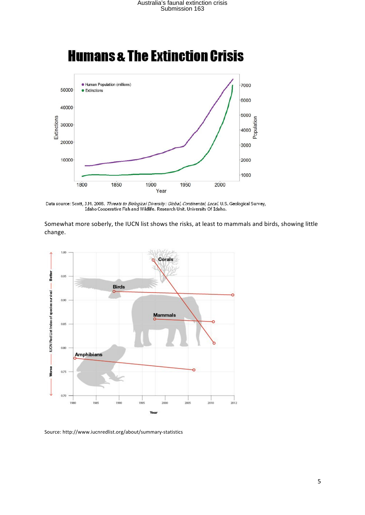

# **Humans & The Extinction Crisis**

Data source: Scott, J.M. 2008. *Threats to Biological Diversity: Global, Continental, Local*. U.S. Geological Survey,<br>Idaho Cooperative Fish and Wildlife, Research Unit, University Of Idaho.

Somewhat more soberly, the IUCN list shows the risks, at least to mammals and birds, showing little change.



Source: http://www.iucnredlist.org/about/summary-statistics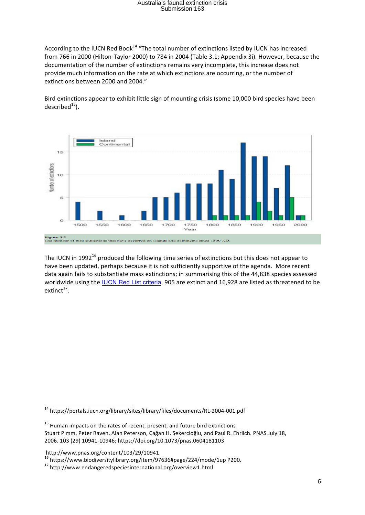According to the IUCN Red Book<sup>14</sup> "The total number of extinctions listed by IUCN has increased from 766 in 2000 (Hilton-Taylor 2000) to 784 in 2004 (Table 3.1; Appendix 3i). However, because the documentation of the number of extinctions remains very incomplete, this increase does not provide much information on the rate at which extinctions are occurring, or the number of extinctions between 2000 and 2004."

Bird extinctions appear to exhibit little sign of mounting crisis (some 10,000 bird species have been  $described<sup>15</sup>$ ).



The IUCN in 1992<sup>16</sup> produced the following time series of extinctions but this does not appear to have been updated, perhaps because it is not sufficiently supportive of the agenda. More recent data again fails to substantiate mass extinctions; in summarising this of the 44,838 species assessed worldwide using the IUCN Red List criteria, 905 are extinct and 16,928 are listed as threatened to be  $extinct<sup>17</sup>$ .

 

<sup>14</sup> https://portals.iucn.org/library/sites/library/files/documents/RL-2004-001.pdf

 $15$  Human impacts on the rates of recent, present, and future bird extinctions Stuart Pimm, Peter Raven, Alan Peterson, Çağan H. Şekercioğlu, and Paul R. Ehrlich. PNAS July 18, 2006. 103 (29) 10941-10946; https://doi.org/10.1073/pnas.0604181103

http://www.pnas.org/content/103/29/10941

<sup>16</sup> https://www.biodiversitylibrary.org/item/97636#page/224/mode/1up P200. <sup>17</sup> http://www.endangeredspeciesinternational.org/overview1.html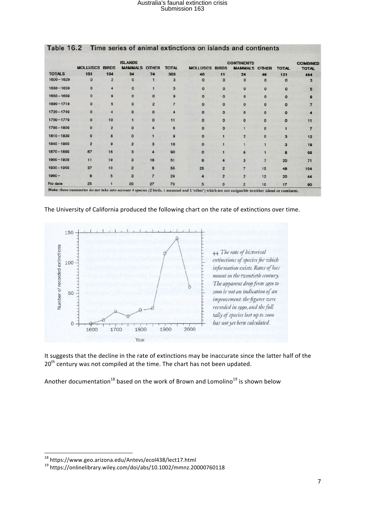|               |                       |                | <b>ISLANDS</b><br><b>MAMMALS</b> | <b>OTHER</b>   | <b>TOTAL</b> | <b>CONTINENTS</b>     |                |                |              |              | <b>COMBINED</b> |
|---------------|-----------------------|----------------|----------------------------------|----------------|--------------|-----------------------|----------------|----------------|--------------|--------------|-----------------|
|               | <b>MOLLUSCS BIRDS</b> |                |                                  |                |              | <b>MOLLUSCS BIRDS</b> |                | <b>MAMMALS</b> | <b>OTHER</b> | <b>TOTAL</b> | <b>TOTAL</b>    |
| <b>TOTALS</b> | 151                   | 104            | 34                               | 74             | 303          | 40                    | 11             | 24             | 46           | 121          | 484             |
| 1600-1629     | $\Omega$              | $\overline{2}$ | $\Omega$                         |                | 3            | O                     | $\Omega$       | ۵              | $\Omega$     | $\Omega$     | 3               |
| 1630-1659     | $\Omega$              |                | $\Omega$                         |                |              |                       | $\Omega$       | $\Omega$       | $\Omega$     | $\Omega$     |                 |
| 1660-1689     | $\Omega$              | $\Omega$       | $\Omega$                         | O              |              | o                     | $\Omega$       | $\Omega$       | $\Omega$     | $\Omega$     |                 |
| 1690-1719     | $\Omega$              |                | $\Omega$                         | $\overline{2}$ |              | $\Omega$              | $\mathbf 0$    | 0              | $\Omega$     | $\Omega$     |                 |
| 1720-1749     | $\Omega$              |                | $\Omega$                         | $\Omega$       |              | $\Omega$              | $\Omega$       | 0              | $\Omega$     | $\Omega$     |                 |
| 1750-1779     | $\mathbf{0}$          | 10             |                                  | $\mathbf{0}$   | 11           | $\Omega$              | $\Omega$       | $\Omega$       | $\Omega$     | $\Omega$     | 11              |
| 1780-1809     | $\Omega$              | $\overline{2}$ | O                                |                | 6            | $\Omega$              | $\Omega$       |                | $\Omega$     |              | 7               |
| 1810-1839     | $\mathbf{o}$          | R              | $\Omega$                         |                | $\Omega$     | O                     |                | $\overline{2}$ | $\Omega$     | 3            | 12              |
| 1840-1869     | $\overline{2}$        | Ω              | $\overline{2}$                   | 3              | 16           | $\Omega$              |                |                |              | 3            | 19              |
| 1870-1899     | 67                    | 16             | 3                                | 4              | 90           | $\Omega$              |                |                |              | 8            | 98              |
| 1900-1929     | 11                    | 19             | 3                                | 18             | 51           | 6                     |                | 3              |              | 20           | 71              |
| 1930-1959     | 37                    | 10             | $\overline{2}$                   | 6              | 55           | 25                    | $\overline{2}$ | 7              | 15           | 49           | 104             |
| $1960 -$      | $\mathbf{9}$          | 5              | $\overline{3}$                   |                | 24           |                       | $\overline{2}$ | 2              | 12           | 20           | 44              |
| No date       | 25                    |                | 20                               | 27             | 73           |                       | o              | 2              | 10           | 17           | 90              |

#### **Table 16.2** Time series of animal extinctions on islands and continents

The University of California produced the following chart on the rate of extinctions over time.



It suggests that the decline in the rate of extinctions may be inaccurate since the latter half of the  $20<sup>th</sup>$  century was not compiled at the time. The chart has not been updated.

Another documentation<sup>18</sup> based on the work of Brown and Lomolino<sup>19</sup> is shown below

 $^{18}$ https://www.geo.arizona.edu/Antevs/ecol438/lect17.html

<sup>19</sup> https://onlinelibrary.wiley.com/doi/abs/10.1002/mmnz.20000760118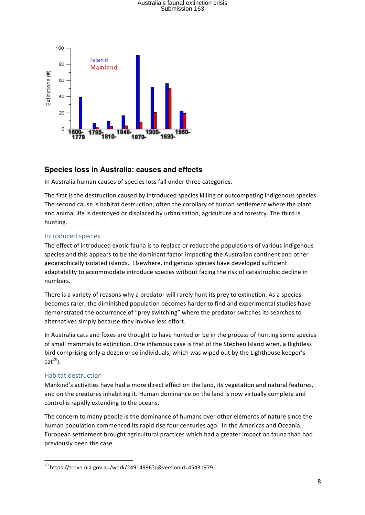

#### **Species loss in Australia: causes and effects**

In Australia human causes of species loss fall under three categories.

The first is the destruction caused by introduced species killing or outcompeting indigenous species. The second cause is habitat destruction, often the corollary of human settlement where the plant and animal life is destroyed or displaced by urbanisation, agriculture and forestry. The third is hunting. 

#### Introduced species

The effect of introduced exotic fauna is to replace or reduce the populations of various indigenous species and this appears to be the dominant factor impacting the Australian continent and other geographically isolated islands. Elsewhere, indigenous species have developed sufficient adaptability to accommodate introduce species without facing the risk of catastrophic decline in numbers.

There is a variety of reasons why a predator will rarely hunt its prey to extinction. As a species becomes rarer, the diminished population becomes harder to find and experimental studies have demonstrated the occurrence of "prey switching" where the predator switches its searches to alternatives simply because they involve less effort.

In Australia cats and foxes are thought to have hunted or be in the process of hunting some species of small mammals to extinction. One infamous case is that of the Stephen Island wren, a flightless bird comprising only a dozen or so individuals, which was wiped out by the Lighthouse keeper's  $cat<sup>20</sup>$ ).

#### Habitat destruction

 

Mankind's activities have had a more direct effect on the land, its vegetation and natural features, and on the creatures inhabiting it. Human dominance on the land is now virtually complete and control is rapidly extending to the oceans.

The concern to many people is the dominance of humans over other elements of nature since the human population commenced its rapid rise four centuries ago. In the Americas and Oceania, European settlement brought agricultural practices which had a greater impact on fauna than had previously been the case.

<sup>&</sup>lt;sup>20</sup> https://trove.nla.gov.au/work/24914996?q&versionId=45431979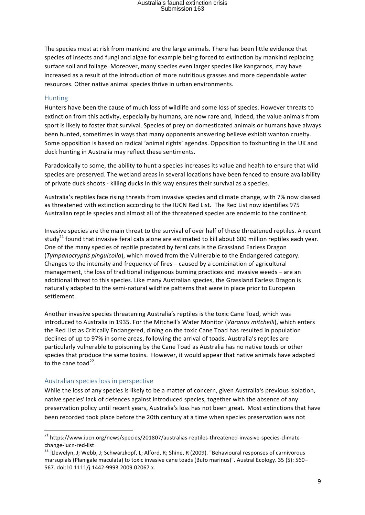The species most at risk from mankind are the large animals. There has been little evidence that species of insects and fungi and algae for example being forced to extinction by mankind replacing surface soil and foliage. Moreover, many species even larger species like kangaroos, may have increased as a result of the introduction of more nutritious grasses and more dependable water resources. Other native animal species thrive in urban environments.

#### Hunting

Hunters have been the cause of much loss of wildlife and some loss of species. However threats to extinction from this activity, especially by humans, are now rare and, indeed, the value animals from sport is likely to foster that survival. Species of prey on domesticated animals or humans have always been hunted, sometimes in ways that many opponents answering believe exhibit wanton cruelty. Some opposition is based on radical 'animal rights' agendas. Opposition to foxhunting in the UK and duck hunting in Australia may reflect these sentiments.

Paradoxically to some, the ability to hunt a species increases its value and health to ensure that wild species are preserved. The wetland areas in several locations have been fenced to ensure availability of private duck shoots - killing ducks in this way ensures their survival as a species.

Australia's reptiles face rising threats from invasive species and climate change, with 7% now classed as threatened with extinction according to the IUCN Red List. The Red List now identifies 975 Australian reptile species and almost all of the threatened species are endemic to the continent.

Invasive species are the main threat to the survival of over half of these threatened reptiles. A recent study<sup>21</sup> found that invasive feral cats alone are estimated to kill about 600 million reptiles each year. One of the many species of reptile predated by feral cats is the Grassland Earless Dragon (*Tympanocryptis pinguicolla*), which moved from the Vulnerable to the Endangered category. Changes to the intensity and frequency of fires – caused by a combination of agricultural management, the loss of traditional indigenous burning practices and invasive weeds  $-$  are an additional threat to this species. Like many Australian species, the Grassland Earless Dragon is naturally adapted to the semi-natural wildfire patterns that were in place prior to European settlement.

Another invasive species threatening Australia's reptiles is the toxic Cane Toad, which was introduced to Australia in 1935. For the Mitchell's Water Monitor (*Varanus mitchelli*), which enters the Red List as Critically Endangered, dining on the toxic Cane Toad has resulted in population declines of up to 97% in some areas, following the arrival of toads. Australia's reptiles are particularly vulnerable to poisoning by the Cane Toad as Australia has no native toads or other species that produce the same toxins. However, it would appear that native animals have adapted to the cane toad $^{22}$ .

#### Australian species loss in perspective

<u> 1989 - Jan Samuel Barbara, margaret e</u>

While the loss of any species is likely to be a matter of concern, given Australia's previous isolation, native species' lack of defences against introduced species, together with the absence of any preservation policy until recent years, Australia's loss has not been great. Most extinctions that have been recorded took place before the 20th century at a time when species preservation was not

<sup>&</sup>lt;sup>21</sup> https://www.iucn.org/news/species/201807/australias-reptiles-threatened-invasive-species-climatechange-iucn-red-list<br><sup>22</sup> Llewelyn, J; Webb, J; Schwarzkopf, L; Alford, R; Shine, R (2009). "Behavioural responses of carnivorous

marsupials (Planigale maculata) to toxic invasive cane toads (Bufo marinus)". Austral Ecology. 35 (5): 560-567. doi:10.1111/j.1442-9993.2009.02067.x.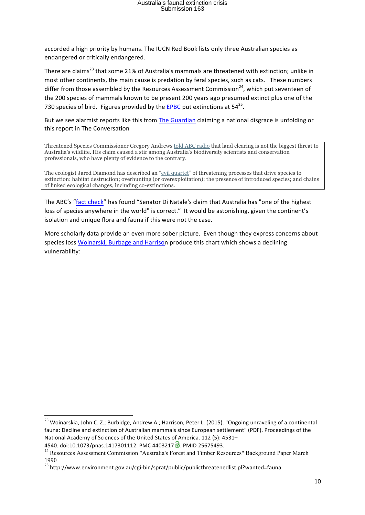accorded a high priority by humans. The IUCN Red Book lists only three Australian species as endangered or critically endangered.

There are claims<sup>23</sup> that some 21% of Australia's mammals are threatened with extinction; unlike in most other continents, the main cause is predation by feral species, such as cats. These numbers differ from those assembled by the Resources Assessment Commission<sup>24</sup>, which put seventeen of the 200 species of mammals known to be present 200 years ago presumed extinct plus one of the 730 species of bird. Figures provided by the EPBC put extinctions at  $54^{25}$ .

But we see alarmist reports like this from The Guardian claiming a national disgrace is unfolding or this report in The Conversation

Threatened Species Commissioner Gregory Andrews told ABC radio that land clearing is not the biggest threat to Australia's wildlife. His claim caused a stir among Australia's biodiversity scientists and conservation professionals, who have plenty of evidence to the contrary.

The ecologist Jared Diamond has described an "evil quartet" of threatening processes that drive species to extinction: habitat destruction; overhunting (or overexploitation); the presence of introduced species; and chains of linked ecological changes, including co-extinctions.

The ABC's "fact check" has found "Senator Di Natale's claim that Australia has "one of the highest loss of species anywhere in the world" is correct." It would be astonishing, given the continent's isolation and unique flora and fauna if this were not the case.

More scholarly data provide an even more sober picture. Even though they express concerns about species loss Woinarski, Burbage and Harrison produce this chart which shows a declining vulnerability: 

<sup>&</sup>lt;sup>23</sup> Woinarskia, John C. Z.; Burbidge, Andrew A.; Harrison, Peter L. (2015). "Ongoing unraveling of a continental fauna: Decline and extinction of Australian mammals since European settlement" (PDF). Proceedings of the National Academy of Sciences of the United States of America. 112 (5): 4531–4540. doi:10.1073/pnas.1417301112. PMC 4403217  $\overline{O}$ . PMID 25675493.

<sup>&</sup>lt;sup>24</sup> Resources Assessment Commission "Australia's Forest and Timber Resources" Background Paper March 1990

<sup>25</sup> http://www.environment.gov.au/cgi-bin/sprat/public/publicthreatenedlist.pl?wanted=fauna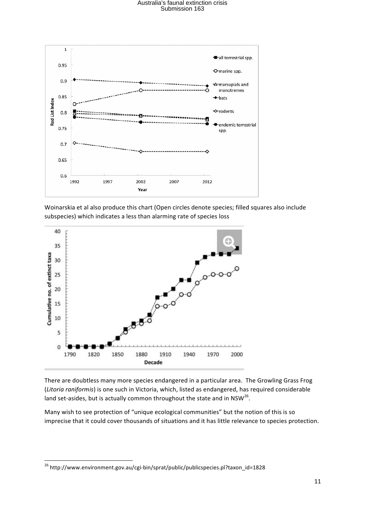

Woinarskia et al also produce this chart (Open circles denote species; filled squares also include subspecies) which indicates a less than alarming rate of species loss



There are doubtless many more species endangered in a particular area. The Growling Grass Frog (*Litoria raniformis*) is one such in Victoria, which, listed as endangered, has required considerable land set-asides, but is actually common throughout the state and in NSW<sup>26</sup>.

Many wish to see protection of "unique ecological communities" but the notion of this is so imprecise that it could cover thousands of situations and it has little relevance to species protection.

 

<sup>&</sup>lt;sup>26</sup> http://www.environment.gov.au/cgi-bin/sprat/public/publicspecies.pl?taxon\_id=1828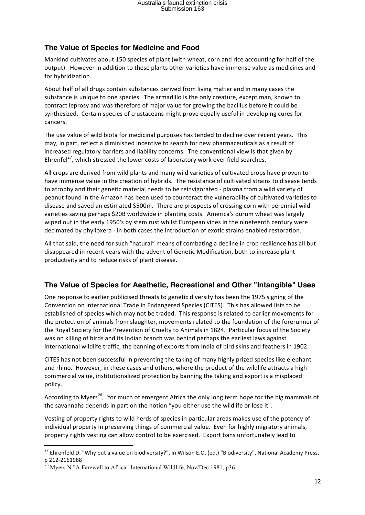### **The Value of Species for Medicine and Food**

Mankind cultivates about 150 species of plant (with wheat, corn and rice accounting for half of the output). However in addition to these plants other varieties have immense value as medicines and for hybridization.

About half of all drugs contain substances derived from living matter and in many cases the substance is unique to one species. The armadillo is the only creature, except man, known to contract leprosy and was therefore of major value for growing the bacillus before it could be synthesized. Certain species of crustaceans might prove equally useful in developing cures for cancers. 

The use value of wild biota for medicinal purposes has tended to decline over recent years. This may, in part, reflect a diminished incentive to search for new pharmaceuticals as a result of increased regulatory barriers and liability concerns. The conventional view is that given by Ehrenfel<sup>27</sup>, which stressed the lower costs of laboratory work over field searches.

All crops are derived from wild plants and many wild varieties of cultivated crops have proven to have immense value in the creation of hybrids. The resistance of cultivated strains to disease tends to atrophy and their genetic material needs to be reinvigorated - plasma from a wild variety of peanut found in the Amazon has been used to counteract the vulnerability of cultivated varieties to disease and saved an estimated \$500m. There are prospects of crossing corn with perennial wild varieties saving perhaps \$20B worldwide in planting costs. America's durum wheat was largely wiped out in the early 1950's by stem rust whilst European vines in the nineteenth century were decimated by phylloxera - in both cases the introduction of exotic strains enabled restoration.

All that said, the need for such "natural" means of combating a decline in crop resilience has all but disappeared in recent vears with the advent of Genetic Modification, both to increase plant productivity and to reduce risks of plant disease.

#### **The Value of Species for Aesthetic, Recreational and Other "Intangible" Uses**

One response to earlier publicised threats to genetic diversity has been the 1975 signing of the Convention on International Trade in Endangered Species (CITES). This has allowed lists to be established of species which may not be traded. This response is related to earlier movements for the protection of animals from slaughter, movements related to the foundation of the forerunner of the Royal Society for the Prevention of Cruelty to Animals in 1824. Particular focus of the Society was on killing of birds and its Indian branch was behind perhaps the earliest laws against international wildlife traffic, the banning of exports from India of bird skins and feathers in 1902.

CITES has not been successful in preventing the taking of many highly prized species like elephant and rhino. However, in these cases and others, where the product of the wildlife attracts a high commercial value, institutionalized protection by banning the taking and export is a misplaced policy.

According to Myers<sup>28</sup>, "for much of emergent Africa the only long term hope for the big mammals of the savannahs depends in part on the notion "you either use the wildlife or lose it".

Vesting of property rights to wild herds of species in particular areas makes use of the potency of individual property in preserving things of commercial value. Even for highly migratory animals, property rights vesting can allow control to be exercised. Export bans unfortunately lead to

<sup>&</sup>lt;sup>27</sup> Ehrenfeld D. "Why put a value on biodiversity?", in Wilson E.O. (ed.) "Biodiversity", National Academy Press, p 212-2161988

Myers N "A Farewell to Africa" International Wildlife, Nov/Dec 1981, p36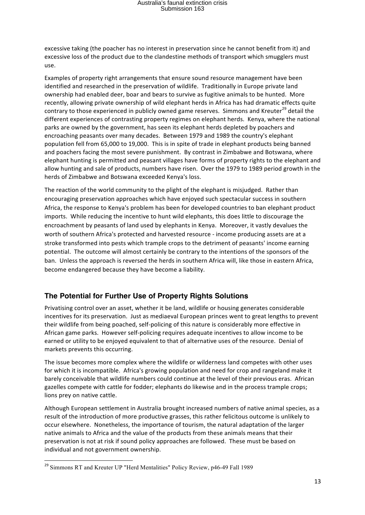excessive taking (the poacher has no interest in preservation since he cannot benefit from it) and excessive loss of the product due to the clandestine methods of transport which smugglers must use.

Examples of property right arrangements that ensure sound resource management have been identified and researched in the preservation of wildlife. Traditionally in Europe private land ownership had enabled deer, boar and bears to survive as fugitive animals to be hunted. More recently, allowing private ownership of wild elephant herds in Africa has had dramatic effects quite contrary to those experienced in publicly owned game reserves. Simmons and Kreuter<sup>29</sup> detail the different experiences of contrasting property regimes on elephant herds. Kenya, where the national parks are owned by the government, has seen its elephant herds depleted by poachers and encroaching peasants over many decades. Between 1979 and 1989 the country's elephant population fell from 65,000 to 19,000. This is in spite of trade in elephant products being banned and poachers facing the most severe punishment. By contrast in Zimbabwe and Botswana, where elephant hunting is permitted and peasant villages have forms of property rights to the elephant and allow hunting and sale of products, numbers have risen. Over the 1979 to 1989 period growth in the herds of Zimbabwe and Botswana exceeded Kenya's loss.

The reaction of the world community to the plight of the elephant is misjudged. Rather than encouraging preservation approaches which have enjoyed such spectacular success in southern Africa, the response to Kenya's problem has been for developed countries to ban elephant product imports. While reducing the incentive to hunt wild elephants, this does little to discourage the encroachment by peasants of land used by elephants in Kenya. Moreover, it vastly devalues the worth of southern Africa's protected and harvested resource - income producing assets are at a stroke transformed into pests which trample crops to the detriment of peasants' income earning potential. The outcome will almost certainly be contrary to the intentions of the sponsors of the ban. Unless the approach is reversed the herds in southern Africa will, like those in eastern Africa, become endangered because they have become a liability.

#### **The Potential for Further Use of Property Rights Solutions**

Privatising control over an asset, whether it be land, wildlife or housing generates considerable incentives for its preservation. Just as mediaeval European princes went to great lengths to prevent their wildlife from being poached, self-policing of this nature is considerably more effective in African game parks. However self-policing requires adequate incentives to allow income to be earned or utility to be enjoyed equivalent to that of alternative uses of the resource. Denial of markets prevents this occurring.

The issue becomes more complex where the wildlife or wilderness land competes with other uses for which it is incompatible. Africa's growing population and need for crop and rangeland make it barely conceivable that wildlife numbers could continue at the level of their previous eras. African gazelles compete with cattle for fodder; elephants do likewise and in the process trample crops; lions prey on native cattle.

Although European settlement in Australia brought increased numbers of native animal species, as a result of the introduction of more productive grasses, this rather felicitous outcome is unlikely to occur elsewhere. Nonetheless, the importance of tourism, the natural adaptation of the larger native animals to Africa and the value of the products from these animals means that their preservation is not at risk if sound policy approaches are followed. These must be based on individual and not government ownership.

 

<sup>&</sup>lt;sup>29</sup> Simmons RT and Kreuter UP "Herd Mentalities" Policy Review, p46-49 Fall 1989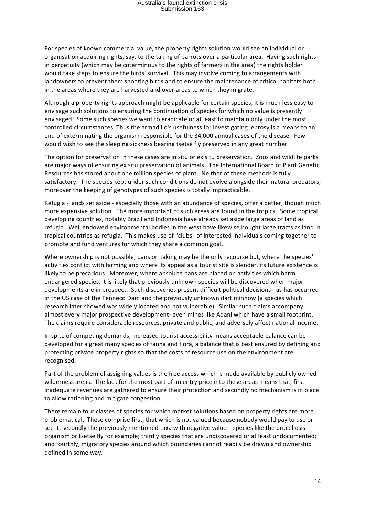For species of known commercial value, the property rights solution would see an individual or organisation acquiring rights, say, to the taking of parrots over a particular area. Having such rights in perpetuity (which may be coterminous to the rights of farmers in the area) the rights holder would take steps to ensure the birds' survival. This may involve coming to arrangements with landowners to prevent them shooting birds and to ensure the maintenance of critical habitats both in the areas where they are harvested and over areas to which they migrate.

Although a property rights approach might be applicable for certain species, it is much less easy to envisage such solutions to ensuring the continuation of species for which no value is presently envisaged. Some such species we want to eradicate or at least to maintain only under the most controlled circumstances. Thus the armadillo's usefulness for investigating leprosy is a means to an end of exterminating the organism responsible for the 34,000 annual cases of the disease. Few would wish to see the sleeping sickness bearing tsetse fly preserved in any great number.

The option for preservation in these cases are in situ or ex situ preservation. Zoos and wildlife parks are major ways of ensuring ex situ preservation of animals. The International Board of Plant Genetic Resources has stored about one million species of plant. Neither of these methods is fully satisfactory. The species kept under such conditions do not evolve alongside their natural predators; moreover the keeping of genotypes of such species is totally impracticable.

Refugia - lands set aside - especially those with an abundance of species, offer a better, though much more expensive solution. The more important of such areas are found in the tropics. Some tropical developing countries, notably Brazil and Indonesia have already set aside large areas of land as refugia. Well endowed environmental bodies in the west have likewise bought large tracts as land in tropical countries as refugia. This makes use of "clubs" of interested individuals coming together to promote and fund ventures for which they share a common goal.

Where ownership is not possible, bans on taking may be the only recourse but, where the species' activities conflict with farming and where its appeal as a tourist site is slender, its future existence is likely to be precarious. Moreover, where absolute bans are placed on activities which harm endangered species, it is likely that previously unknown species will be discovered when major developments are in prospect. Such discoveries present difficult political decisions - as has occurred in the US case of the Tenneco Dam and the previously unknown dart minnow (a species which research later showed was widely located and not vulnerable). Similar such claims accompany almost every major prospective development- even mines like Adani which have a small footprint. The claims require considerable resources, private and public, and adversely affect national income.

In spite of competing demands, increased tourist accessibility means acceptable balance can be developed for a great many species of fauna and flora, a balance that is best ensured by defining and protecting private property rights so that the costs of resource use on the environment are recognised.

Part of the problem of assigning values is the free access which is made available by publicly owned wilderness areas. The lack for the most part of an entry price into these areas means that, first inadequate revenues are gathered to ensure their protection and secondly no mechanism is in place to allow rationing and mitigate congestion.

There remain four classes of species for which market solutions based on property rights are more problematical. These comprise first, that which is not valued because nobody would pay to use or see it; secondly the previously mentioned taxa with negative value – species like the brucellosis organism or tsetse fly for example; thirdly species that are undiscovered or at least undocumented; and fourthly, migratory species around which boundaries cannot readily be drawn and ownership defined in some way.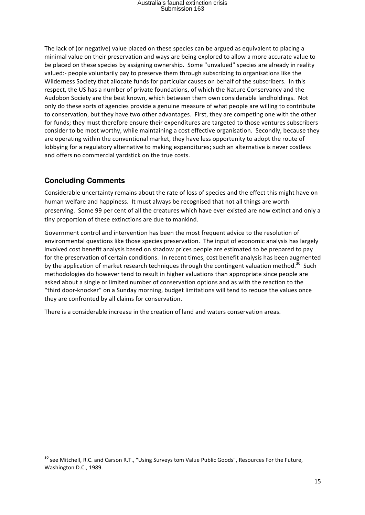The lack of (or negative) value placed on these species can be argued as equivalent to placing a minimal value on their preservation and ways are being explored to allow a more accurate value to be placed on these species by assigning ownership. Some "unvalued" species are already in reality valued:- people voluntarily pay to preserve them through subscribing to organisations like the Wilderness Society that allocate funds for particular causes on behalf of the subscribers. In this respect, the US has a number of private foundations, of which the Nature Conservancy and the Audobon Society are the best known, which between them own considerable landholdings. Not only do these sorts of agencies provide a genuine measure of what people are willing to contribute to conservation, but they have two other advantages. First, they are competing one with the other for funds; they must therefore ensure their expenditures are targeted to those ventures subscribers consider to be most worthy, while maintaining a cost effective organisation. Secondly, because they are operating within the conventional market, they have less opportunity to adopt the route of lobbying for a regulatory alternative to making expenditures; such an alternative is never costless and offers no commercial yardstick on the true costs.

#### **Concluding Comments**

<u> 1989 - Jan Samuel Barbara, margaret e</u>

Considerable uncertainty remains about the rate of loss of species and the effect this might have on human welfare and happiness. It must always be recognised that not all things are worth preserving. Some 99 per cent of all the creatures which have ever existed are now extinct and only a tiny proportion of these extinctions are due to mankind.

Government control and intervention has been the most frequent advice to the resolution of environmental questions like those species preservation. The input of economic analysis has largely involved cost benefit analysis based on shadow prices people are estimated to be prepared to pay for the preservation of certain conditions. In recent times, cost benefit analysis has been augmented by the application of market research techniques through the contingent valuation method.<sup>30</sup> Such methodologies do however tend to result in higher valuations than appropriate since people are asked about a single or limited number of conservation options and as with the reaction to the "third door-knocker" on a Sunday morning, budget limitations will tend to reduce the values once they are confronted by all claims for conservation.

There is a considerable increase in the creation of land and waters conservation areas.

<sup>&</sup>lt;sup>30</sup> see Mitchell, R.C. and Carson R.T., "Using Surveys tom Value Public Goods", Resources For the Future, Washington D.C., 1989.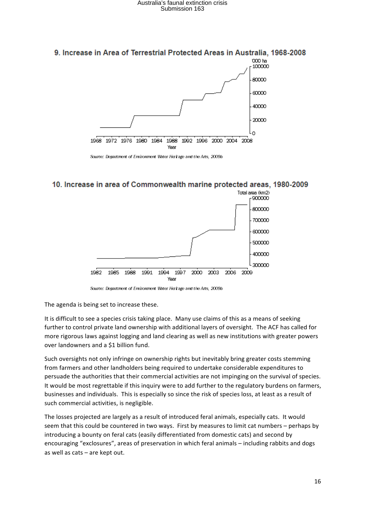

Source: Department of Environment Water Heritage and the Arts, 2009b

10. Increase in area of Commonwealth marine protected areas, 1980-2009



Source: Department of Environment Water Heritage and the Arts, 2009b

The agenda is being set to increase these.

It is difficult to see a species crisis taking place. Many use claims of this as a means of seeking further to control private land ownership with additional layers of oversight. The ACF has called for more rigorous laws against logging and land clearing as well as new institutions with greater powers over landowners and a \$1 billion fund.

Such oversights not only infringe on ownership rights but inevitably bring greater costs stemming from farmers and other landholders being required to undertake considerable expenditures to persuade the authorities that their commercial activities are not impinging on the survival of species. It would be most regrettable if this inquiry were to add further to the regulatory burdens on farmers, businesses and individuals. This is especially so since the risk of species loss, at least as a result of such commercial activities, is negligible.

The losses projected are largely as a result of introduced feral animals, especially cats. It would seem that this could be countered in two ways. First by measures to limit cat numbers – perhaps by introducing a bounty on feral cats (easily differentiated from domestic cats) and second by encouraging "exclosures", areas of preservation in which feral animals - including rabbits and dogs as well as  $\text{cats}$  – are kept out.